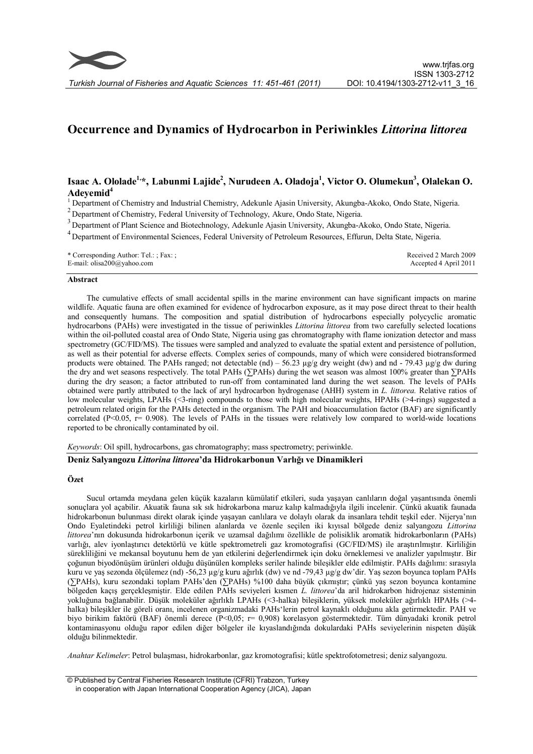# **Occurrence and Dynamics of Hydrocarbon in Periwinkles** *Littorina littorea*

## **Isaac A. Ololade1, \*, Labunmi Lajide<sup>2</sup> , Nurudeen A. Oladoja<sup>1</sup> , Victor O. Olumekun<sup>3</sup> , Olalekan O. Adeyemid<sup>4</sup>**

<sup>1</sup> Department of Chemistry and Industrial Chemistry, Adekunle Ajasin University, Akungba-Akoko, Ondo State, Nigeria.

 $2D$ epartment of Chemistry, Federal University of Technology, Akure, Ondo State, Nigeria.

<sup>3</sup> Department of Plant Science and Biotechnology, Adekunle Ajasin University, Akungba-Akoko, Ondo State, Nigeria.

<sup>4</sup> Department of Environmental Sciences, Federal University of Petroleum Resources, Effurun, Delta State, Nigeria.

| * Corresponding Author: Tel.: ; Fax: ; | Received 2 March 2009 |
|----------------------------------------|-----------------------|
| E-mail: $olisa200@yahoo.com$           | Accepted 4 April 2011 |

#### **Abstract**

The cumulative effects of small accidental spills in the marine environment can have significant impacts on marine wildlife. Aquatic fauna are often examined for evidence of hydrocarbon exposure, as it may pose direct threat to their health and consequently humans. The composition and spatial distribution of hydrocarbons especially polycyclic aromatic hydrocarbons (PAHs) were investigated in the tissue of periwinkles *Littorina littorea* from two carefully selected locations within the oil-polluted coastal area of Ondo State, Nigeria using gas chromatography with flame ionization detector and mass spectrometry (GC/FID/MS). The tissues were sampled and analyzed to evaluate the spatial extent and persistence of pollution, as well as their potential for adverse effects. Complex series of compounds, many of which were considered biotransformed products were obtained. The PAHs ranged; not detectable (nd) – 56.23  $\mu$ g/g dry weight (dw) and nd - 79.43  $\mu$ g/g dw during the dry and wet seasons respectively. The total PAHs (∑PAHs) during the wet season was almost 100% greater than ∑PAHs during the dry season; a factor attributed to run-off from contaminated land during the wet season. The levels of PAHs obtained were partly attributed to the lack of aryl hydrocarbon hydrogenase (AHH) system in *L. littorea.* Relative ratios of low molecular weights, LPAHs (<3-ring) compounds to those with high molecular weights, HPAHs (>4-rings) suggested a petroleum related origin for the PAHs detected in the organism. The PAH and bioaccumulation factor (BAF) are significantly correlated (P<0.05,  $r=$  0.908). The levels of PAHs in the tissues were relatively low compared to world-wide locations reported to be chronically contaminated by oil.

*Keywords*: Oil spill, hydrocarbons, gas chromatography; mass spectrometry; periwinkle.

#### **Deniz Salyangozu** *Littorina littorea***'da Hidrokarbonun Varlığı ve Dinamikleri**

#### **Özet**

Sucul ortamda meydana gelen küçük kazaların kümülatif etkileri, suda yaşayan canlıların doğal yaşantısında önemli sonuçlara yol açabilir. Akuatik fauna sık sık hidrokarbona maruz kalıp kalmadığıyla ilgili incelenir. Çünkü akuatik faunada hidrokarbonun bulunması direkt olarak içinde yaşayan canlılara ve dolaylı olarak da insanlara tehdit teşkil eder. Nijerya'nın Ondo Eyaletindeki petrol kirliliği bilinen alanlarda ve özenle seçilen iki kıyısal bölgede deniz salyangozu *Littorina littorea*'nın dokusunda hidrokarbonun içerik ve uzamsal dağılımı özellikle de polisiklik aromatik hidrokarbonların (PAHs) varlığı, alev iyonlaştırıcı detektörlü ve kütle spektrometreli gaz kromotografisi (GC/FID/MS) ile araştırılmıştır. Kirliliğin sürekliliğini ve mekansal boyutunu hem de yan etkilerini değerlendirmek için doku örneklemesi ve analizler yapılmıştır. Bir çoğunun biyodönüşüm ürünleri olduğu düşünülen kompleks seriler halinde bileşikler elde edilmiştir. PAHs dağılımı: sırasıyla kuru ve yaş sezonda ölçülemez (nd) -56,23 µg/g kuru ağırlık (dw) ve nd -79,43 µg/g dw'dir. Yaş sezon boyunca toplam PAHs (∑PAHs), kuru sezondaki toplam PAHs'den (∑PAHs) %100 daha büyük çıkmıştır; çünkü yaş sezon boyunca kontamine bölgeden kaçış gerçekleşmiştir. Elde edilen PAHs seviyeleri kısmen *L. littorea*'da aril hidrokarbon hidrojenaz sisteminin yokluğuna bağlanabilir. Düşük moleküler ağırlıklı LPAHs (<3-halka) bileşiklerin, yüksek moleküler ağırlıklı HPAHs (>4 halka) bileşikler ile göreli oranı, incelenen organizmadaki PAHs'lerin petrol kaynaklı olduğunu akla getirmektedir. PAH ve biyo birikim faktörü (BAF) önemli derece (P<0,05; r= 0,908) korelasyon göstermektedir. Tüm dünyadaki kronik petrol kontaminasyonu olduğu rapor edilen diğer bölgeler ile kıyaslandığında dokulardaki PAHs seviyelerinin nispeten düşük olduğu bilinmektedir.

*Anahtar Kelimeler*: Petrol bulaşması, hidrokarbonlar, gaz kromotografisi; kütle spektrofotometresi; deniz salyangozu.

<sup>©</sup> Published by Central Fisheries Research Institute (CFRI) Trabzon, Turkey in cooperation with Japan International Cooperation Agency (JICA), Japan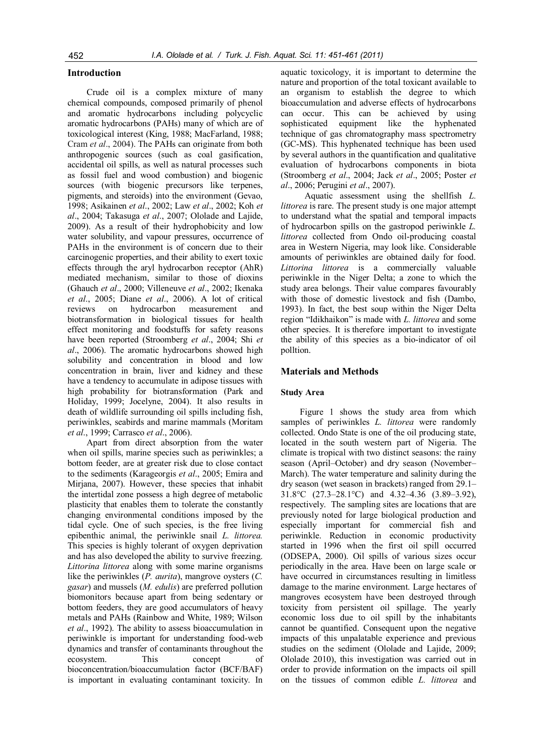## **Introduction**

Crude oil is a complex mixture of many chemical compounds, composed primarily of phenol and aromatic hydrocarbons including polycyclic aromatic hydrocarbons (PAHs) many of which are of toxicological interest (King, 1988; MacFarland, 1988; Cram *et al*., 2004). The PAHs can originate from both anthropogenic sources (such as coal gasification, accidental oil spills, as well as natural processes such as fossil fuel and wood combustion) and biogenic sources (with biogenic precursors like terpenes, pigments, and steroids) into the environment (Gevao, 1998; Asikainen *et al*., 2002; Law *et al*., 2002; Koh *et al*., 2004; Takasuga *et al*., 2007; Ololade and Lajide, 2009). As a result of their hydrophobicity and low water solubility, and vapour pressures, occurrence of PAHs in the environment is of concern due to their carcinogenic properties, and their ability to exert toxic effects through the aryl hydrocarbon receptor (AhR) mediated mechanism, similar to those of dioxins (Ghauch *et al*., 2000; Villeneuve *et al*., 2002; Ikenaka *et al*., 2005; Diane *et al*., 2006). A lot of critical reviews on hydrocarbon measurement and biotransformation in biological tissues for health effect monitoring and foodstuffs for safety reasons have been reported (Stroomberg *et al*., 2004; Shi *et al*., 2006). The aromatic hydrocarbons showed high solubility and concentration in blood and low concentration in brain, liver and kidney and these have a tendency to accumulate in adipose tissues with high probability for biotransformation (Park and Holiday, 1999; Jocelyne, 2004). It also results in death of wildlife surrounding oil spills including fish, periwinkles, seabirds and marine mammals (Moritam *et al*., 1999; Carrasco *et al*., 2006).

Apart from direct absorption from the water when oil spills, marine species such as periwinkles; a bottom feeder, are at greater risk due to close contact to the sediments (Karageorgis *et al*., 2005; Emira and Mirjana, 2007). However, these species that inhabit the intertidal zone possess a high degree of metabolic plasticity that enables them to tolerate the constantly changing environmental conditions imposed by the tidal cycle. One of such species, is the free living epibenthic animal, the periwinkle snail *L. littorea.*  This species is highly tolerant of oxygen deprivation and has also developed the ability to survive freezing. *Littorina littorea* along with some marine organisms like the periwinkles (*P. aurita*), mangrove oysters (*C. gasar*) and mussels (*M. edulis*) are preferred pollution biomonitors because apart from being sedentary or bottom feeders, they are good accumulators of heavy metals and PAHs (Rainbow and White, 1989; Wilson *et al*., 1992). The ability to assess bioaccumulation in periwinkle is important for understanding food-web dynamics and transfer of contaminants throughout the ecosystem. This concept of bioconcentration/bioaccumulation factor (BCF/BAF) is important in evaluating contaminant toxicity. In

aquatic toxicology, it is important to determine the nature and proportion of the total toxicant available to an organism to establish the degree to which bioaccumulation and adverse effects of hydrocarbons can occur. This can be achieved by using sophisticated equipment like the hyphenated technique of gas chromatography mass spectrometry (GC-MS). This hyphenated technique has been used by several authors in the quantification and qualitative evaluation of hydrocarbons components in biota (Stroomberg *et al*., 2004; Jack *et al*., 2005; Poster *et al*., 2006; Perugini *et al*., 2007).

 Aquatic assessment using the shellfish *L. littorea* is rare. The present study is one major attempt to understand what the spatial and temporal impacts of hydrocarbon spills on the gastropod periwinkle *L. littorea* collected from Ondo oil-producing coastal area in Western Nigeria, may look like. Considerable amounts of periwinkles are obtained daily for food. *Littorina littorea* is a commercially valuable periwinkle in the Niger Delta; a zone to which the study area belongs. Their value compares favourably with those of domestic livestock and fish (Dambo, 1993). In fact, the best soup within the Niger Delta region "Idikhaikon" is made with *L. littorea* and some other species. It is therefore important to investigate the ability of this species as a bio-indicator of oil polltion.

#### **Materials and Methods**

#### **Study Area**

Figure 1 shows the study area from which samples of periwinkles *L. littorea* were randomly collected. Ondo State is one of the oil producing state, located in the south western part of Nigeria. The climate is tropical with two distinct seasons: the rainy season (April–October) and dry season (November– March). The water temperature and salinity during the dry season (wet season in brackets) ranged from 29.1– 31.8°C (27.3–28.1°C) and 4.32–4.36 (3.89–3.92), respectively. The sampling sites are locations that are previously noted for large biological production and especially important for commercial fish and periwinkle. Reduction in economic productivity started in 1996 when the first oil spill occurred (ODSEPA, 2000). Oil spills of various sizes occur periodically in the area. Have been on large scale or have occurred in circumstances resulting in limitless damage to the marine environment. Large hectares of mangroves ecosystem have been destroyed through toxicity from persistent oil spillage. The yearly economic loss due to oil spill by the inhabitants cannot be quantified. Consequent upon the negative impacts of this unpalatable experience and previous studies on the sediment (Ololade and Lajide, 2009; Ololade 2010), this investigation was carried out in order to provide information on the impacts oil spill on the tissues of common edible *L. littorea* and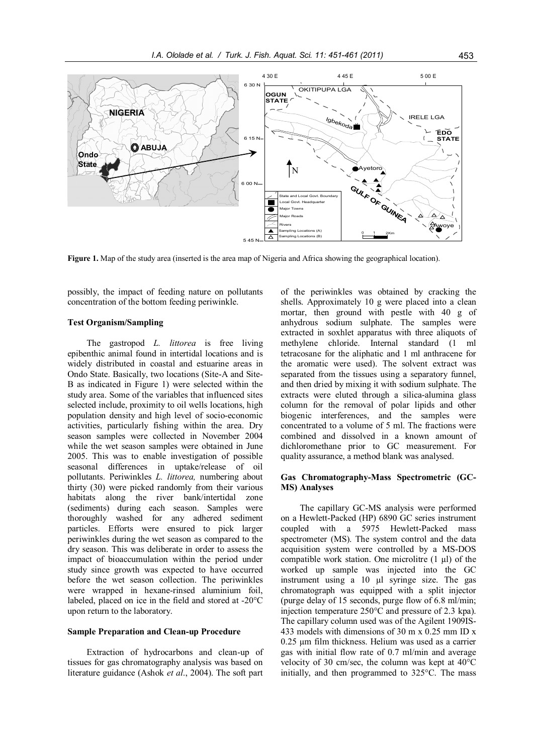

**Figure 1.** Map of the study area (inserted is the area map of Nigeria and Africa showing the geographical location).

possibly, the impact of feeding nature on pollutants concentration of the bottom feeding periwinkle.

## **Test Organism/Sampling**

The gastropod *L. littorea* is free living epibenthic animal found in intertidal locations and is widely distributed in coastal and estuarine areas in Ondo State. Basically, two locations (Site-A and Site-B as indicated in Figure 1) were selected within the study area. Some of the variables that influenced sites selected include, proximity to oil wells locations, high population density and high level of socio-economic activities, particularly fishing within the area. Dry season samples were collected in November 2004 while the wet season samples were obtained in June 2005. This was to enable investigation of possible seasonal differences in uptake/release of oil pollutants. Periwinkles *L. littorea,* numbering about thirty (30) were picked randomly from their various habitats along the river bank/intertidal zone (sediments) during each season. Samples were thoroughly washed for any adhered sediment particles. Efforts were ensured to pick larger periwinkles during the wet season as compared to the dry season. This was deliberate in order to assess the impact of bioaccumulation within the period under study since growth was expected to have occurred before the wet season collection. The periwinkles were wrapped in hexane-rinsed aluminium foil, labeled, placed on ice in the field and stored at -20°C upon return to the laboratory.

#### **Sample Preparation and Clean-up Procedure**

Extraction of hydrocarbons and clean-up of tissues for gas chromatography analysis was based on literature guidance (Ashok *et al*., 2004). The soft part of the periwinkles was obtained by cracking the shells. Approximately 10 g were placed into a clean mortar, then ground with pestle with 40 g of anhydrous sodium sulphate. The samples were extracted in soxhlet apparatus with three aliquots of methylene chloride. Internal standard (1 ml tetracosane for the aliphatic and 1 ml anthracene for the aromatic were used). The solvent extract was separated from the tissues using a separatory funnel, and then dried by mixing it with sodium sulphate. The extracts were eluted through a silica-alumina glass column for the removal of polar lipids and other biogenic interferences, and the samples were concentrated to a volume of 5 ml. The fractions were combined and dissolved in a known amount of dichloromethane prior to GC measurement. For quality assurance, a method blank was analysed.

## **Gas Chromatography-Mass Spectrometric (GC-MS) Analyses**

The capillary GC-MS analysis were performed on a Hewlett-Packed (HP) 6890 GC series instrument coupled with a 5975 Hewlett-Packed mass spectrometer (MS). The system control and the data acquisition system were controlled by a MS-DOS compatible work station. One microlitre  $(1 \mu l)$  of the worked up sample was injected into the GC instrument using a 10 µl syringe size. The gas chromatograph was equipped with a split injector (purge delay of 15 seconds, purge flow of 6.8 ml/min; injection temperature 250°C and pressure of 2.3 kpa). The capillary column used was of the Agilent 1909IS-433 models with dimensions of 30 m x 0.25 mm ID x 0.25 µm film thickness. Helium was used as a carrier gas with initial flow rate of 0.7 ml/min and average velocity of 30 cm/sec, the column was kept at 40°C initially, and then programmed to 325°C. The mass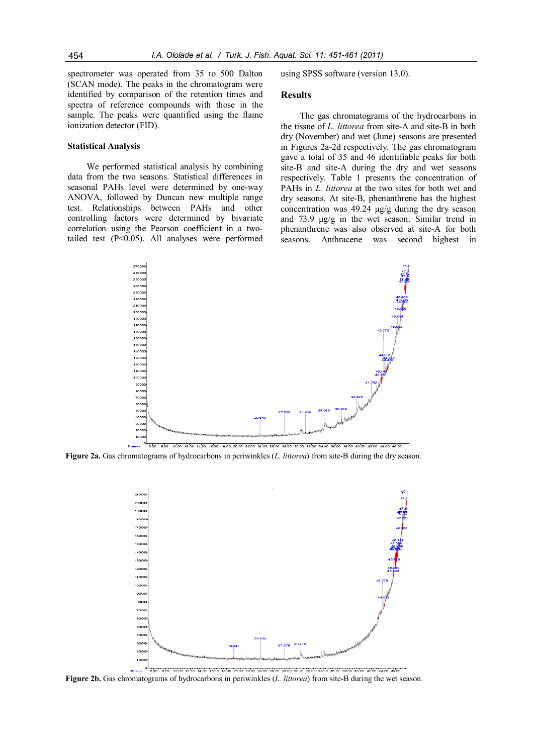spectrometer was operated from 35 to 500 Dalton (SCAN mode). The peaks in the chromatogram were identified by comparison of the retention times and spectra of reference compounds with those in the sample. The peaks were quantified using the flame ionization detector (FID).

#### **Statistical Analysis**

We performed statistical analysis by combining data from the two seasons. Statistical differences in seasonal PAHs level were determined by one-way ANOVA, followed by Duncan new multiple range test. Relationships between PAHs and other controlling factors were determined by bivariate correlation using the Pearson coefficient in a twotailed test (P<0.05). All analyses were performed using SPSS software (version 13.0).

#### **Results**

The gas chromatograms of the hydrocarbons in the tissue of *L. littorea* from site-A and site-B in both dry (November) and wet (June) seasons are presented in Figures 2a-2d respectively. The gas chromatogram gave a total of 35 and 46 identifiable peaks for both site-B and site-A during the dry and wet seasons respectively. Table 1 presents the concentration of PAHs in *L. littorea* at the two sites for both wet and dry seasons. At site-B, phenanthrene has the highest concentration was 49.24 μg/g during the dry season and 73.9 μg/g in the wet season. Similar trend in phenanthrene was also observed at site-A for both seasons. Anthracene was second highest in







**Figure 2b.** Gas chromatograms of hydrocarbons in periwinkles (*L. littorea*) from site-B during the wet season.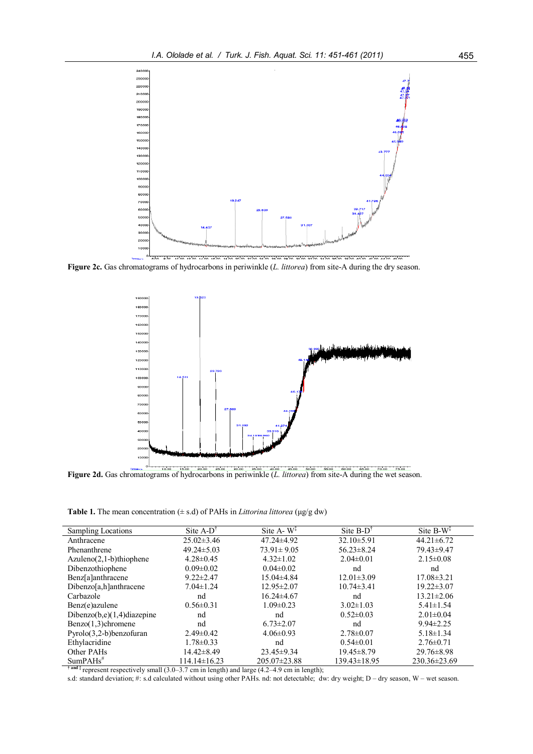

**Figure 2c.** Gas chromatograms of hydrocarbons in periwinkle (*L. littorea*) from site-A during the dry season.



**Figure 2d.** Gas chromatograms of hydrocarbons in periwinkle (*L. littorea*) from site-A during the wet season.

**Table 1.** The mean concentration  $(\pm s.d)$  of PAHs in *Littorina littorea* ( $\mu$ g/g dw)

| Sampling Locations             | $Site A-D^{\dagger}$ | Site $A - W^T$     | $Site B-DT$      | Site $B-W^{\ddagger}$ |
|--------------------------------|----------------------|--------------------|------------------|-----------------------|
| Anthracene                     | $25.02 \pm 3.46$     | $47.24 \pm 4.92$   | $32.10 \pm 5.91$ | $44.21 \pm 6.72$      |
| Phenanthrene                   | $49.24 \pm 5.03$     | $73.91 \pm 9.05$   | $56.23 \pm 8.24$ | 79.43±9.47            |
| $Azuleno(2,1-b)thiophene$      | $4.28 \pm 0.45$      | $4.32 \pm 1.02$    | $2.04 \pm 0.01$  | $2.15 \pm 0.08$       |
| Dibenzothiophene               | $0.09 \pm 0.02$      | $0.04 \pm 0.02$    | nd               | nd                    |
| Benz[a]anthracene              | $9.22 \pm 2.47$      | $15.04\pm4.84$     | $12.01 \pm 3.09$ | $17.08 \pm 3.21$      |
| Dibenzo[a,h]anthracene         | $7.04 \pm 1.24$      | $12.95 \pm 2.07$   | $10.74 \pm 3.41$ | $19.22 \pm 3.07$      |
| Carbazole                      | nd                   | $16.24 \pm 4.67$   | nd               | $13.21 \pm 2.06$      |
| Benz(e)azulene                 | $0.56 \pm 0.31$      | $1.09 \pm 0.23$    | $3.02 \pm 1.03$  | $5.41 \pm 1.54$       |
| Dibenzo $(b,e)(1,4)$ diazepine | nd                   | nd                 | $0.52\pm0.03$    | $2.01 \pm 0.04$       |
| $Benzo(1,3)$ chromene          | nd                   | $6.73 \pm 2.07$    | nd               | $9.94 \pm 2.25$       |
| Pyrolo(3,2-b)benzofuran        | $2.49\pm0.42$        | $4.06 \pm 0.93$    | $2.78 \pm 0.07$  | $5.18 \pm 1.34$       |
| Ethylacridine                  | $1.78 \pm 0.33$      | nd                 | $0.54 \pm 0.01$  | $2.76 \pm 0.71$       |
| Other PAHs                     | 14.42±8.49           | $23.45 \pm 9.34$   | 19.45 ± 8.79     | $29.76 \pm 8.98$      |
| $SumPAHs$ <sup>#</sup>         | 114.14±16.23         | $205.07 \pm 23.88$ | 139.43±18.95     | $230.36 \pm 23.69$    |

**† and ‡** represent respectively small (3.0–3.7 cm in length) and large (4.2–4.9 cm in length);

s.d: standard deviation; #: s.d calculated without using other PAHs. nd: not detectable; dw: dry weight; D – dry season, W – wet season.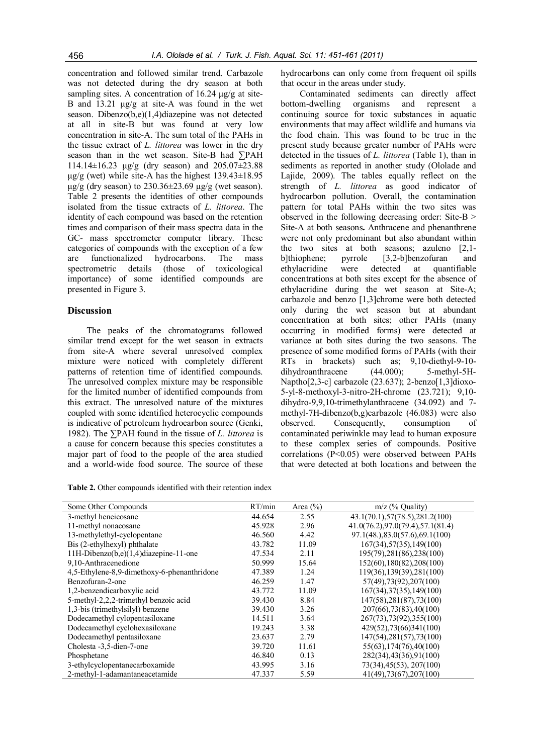concentration and followed similar trend. Carbazole was not detected during the dry season at both sampling sites. A concentration of  $16.24 \mu g/g$  at site-B and 13.21 μg/g at site-A was found in the wet season. Dibenzo(b,e)(1,4)diazepine was not detected at all in site-B but was found at very low concentration in site-A. The sum total of the PAHs in the tissue extract of *L. littorea* was lower in the dry season than in the wet season. Site-B had ∑PAH 114.14±16.23 μg/g (dry season) and 205.07±23.88  $\mu$ g/g (wet) while site-A has the highest 139.43 $\pm$ 18.95 μg/g (dry season) to 230.36±23.69 μg/g (wet season). Table 2 presents the identities of other compounds isolated from the tissue extracts of *L. littorea*. The identity of each compound was based on the retention times and comparison of their mass spectra data in the GC- mass spectrometer computer library. These categories of compounds with the exception of a few are functionalized hydrocarbons. The mass spectrometric details (those of toxicological importance) of some identified compounds are presented in Figure 3.

## **Discussion**

The peaks of the chromatograms followed similar trend except for the wet season in extracts from site-A where several unresolved complex mixture were noticed with completely different patterns of retention time of identified compounds. The unresolved complex mixture may be responsible for the limited number of identified compounds from this extract. The unresolved nature of the mixtures coupled with some identified heterocyclic compounds is indicative of petroleum hydrocarbon source (Genki, 1982). The ∑PAH found in the tissue of *L. littorea* is a cause for concern because this species constitutes a major part of food to the people of the area studied and a world-wide food source. The source of these

| <b>Table 2.</b> Other compounds identified with their retention index |  |  |  |  |
|-----------------------------------------------------------------------|--|--|--|--|
|-----------------------------------------------------------------------|--|--|--|--|

hydrocarbons can only come from frequent oil spills that occur in the areas under study.

Contaminated sediments can directly affect bottom-dwelling organisms and represent a continuing source for toxic substances in aquatic environments that may affect wildlife and humans via the food chain. This was found to be true in the present study because greater number of PAHs were detected in the tissues of *L. littorea* (Table 1), than in sediments as reported in another study (Ololade and Lajide, 2009). The tables equally reflect on the strength of *L. littorea* as good indicator of hydrocarbon pollution. Overall, the contamination pattern for total PAHs within the two sites was observed in the following decreasing order: Site-B > Site-A at both seasons**.** Anthracene and phenanthrene were not only predominant but also abundant within the two sites at both seasons; azuleno [2,1 b]thiophene; pyrrole [3,2-b]benzofuran and ethylacridine were detected at quantifiable concentrations at both sites except for the absence of ethylacridine during the wet season at Site-A; carbazole and benzo [1,3]chrome were both detected only during the wet season but at abundant concentration at both sites; other PAHs (many occurring in modified forms) were detected at variance at both sites during the two seasons. The presence of some modified forms of PAHs (with their RTs in brackets) such as; 9,10-diethyl-9-10 dihydroanthracene (44.000); 5-methyl-5H-Naptho[2,3-c] carbazole (23.637); 2-benzo[1,3]dioxo-5-yl-8-methoxyl-3-nitro-2H-chrome (23.721); 9,10 dihydro-9,9,10-trimethylanthracene (34.092) and 7 methyl-7H-dibenzo(b,g)carbazole (46.083) were also observed. Consequently, consumption of contaminated periwinkle may lead to human exposure to these complex series of compounds. Positive correlations (P<0.05) were observed between PAHs that were detected at both locations and between the

| Some Other Compounds                        | RT/min | Area $(\% )$ | $m/z$ (% Quality)                  |
|---------------------------------------------|--------|--------------|------------------------------------|
| 3-methyl heneicosane                        | 44.654 | 2.55         | 43.1(70.1),57(78.5),281.2(100)     |
| 11-methyl nonacosane                        | 45.928 | 2.96         | 41.0(76.2), 97.0(79.4), 57.1(81.4) |
| 13-methylethyl-cyclopentane                 | 46.560 | 4.42         | 97.1(48.), 83.0(57.6), 69.1(100)   |
| Bis (2-ethylhexyl) phthalate                | 43.782 | 11.09        | 167(34), 57(35), 149(100)          |
| 11H-Dibenzo(b,e)(1,4)diazepine-11-one       | 47.534 | 2.11         | 195(79), 281(86), 238(100)         |
| 9,10-Anthracenedione                        | 50.999 | 15.64        | 152(60), 180(82), 208(100)         |
| 4,5-Ethylene-8,9-dimethoxy-6-phenanthridone | 47.389 | 1.24         | 119(36), 139(39), 281(100)         |
| Benzofuran-2-one                            | 46.259 | 1.47         | 57(49), 73(92), 207(100)           |
| 1,2-benzendicarboxylic acid                 | 43.772 | 11.09        | 167(34), 37(35), 149(100)          |
| 5-methyl-2,2,2-trimethyl benzoic acid       | 39.430 | 8.84         | 147(58), 281(87), 73(100)          |
| 1,3-bis (trimethylsilyl) benzene            | 39.430 | 3.26         | 207(66), 73(83), 40(100)           |
| Dodecamethyl cylopentasiloxane              | 14.511 | 3.64         | 267(73), 73(92), 355(100)          |
| Dodecamethyl cyclohexasiloxane              | 19.243 | 3.38         | 429(52), 73(66) 341(100)           |
| Dodecamethyl pentasiloxane                  | 23.637 | 2.79         | 147(54), 281(57), 73(100)          |
| Cholesta -3,5-dien-7-one                    | 39.720 | 11.61        | 55(63), 174(76), 40(100)           |
| Phosphetane                                 | 46.840 | 0.13         | 282(34), 43(36), 91(100)           |
| 3-ethylcyclopentanecarboxamide              | 43.995 | 3.16         | 73(34), 45(53), 207(100)           |
| 2-methyl-1-adamantaneacetamide              | 47.337 | 5.59         | 41(49), 73(67), 207(100)           |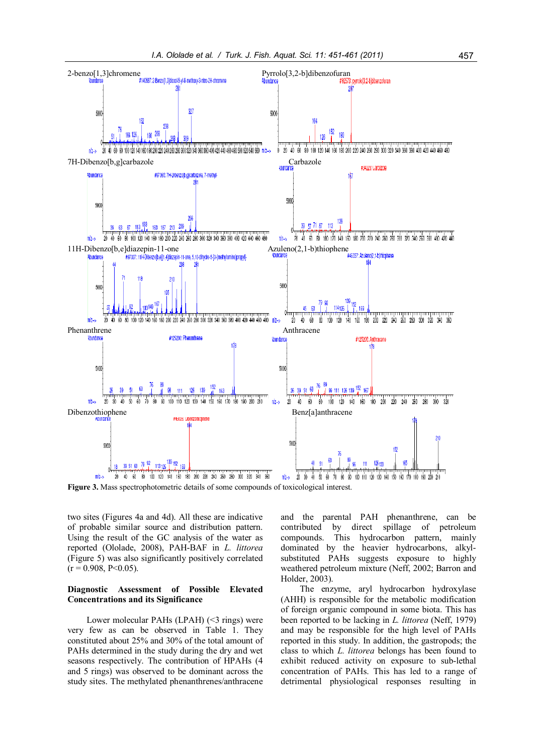

**Figure 3.** Mass spectrophotometric details of some compounds of toxicological interest.

two sites (Figures 4a and 4d). All these are indicative of probable similar source and distribution pattern. Using the result of the GC analysis of the water as reported (Ololade, 2008), PAH-BAF in *L. littorea* (Figure 5) was also significantly positively correlated  $(r = 0.908, P < 0.05)$ .

## **Diagnostic Assessment of Possible Elevated Concentrations and its Significance**

Lower molecular PAHs (LPAH) (<3 rings) were very few as can be observed in Table 1. They constituted about 25% and 30% of the total amount of PAHs determined in the study during the dry and wet seasons respectively. The contribution of HPAHs (4 and 5 rings) was observed to be dominant across the study sites. The methylated phenanthrenes/anthracene

and the parental PAH phenanthrene, can be contributed by direct spillage of petroleum compounds. This hydrocarbon pattern, mainly dominated by the heavier hydrocarbons, alkylsubstituted PAHs suggests exposure to highly weathered petroleum mixture (Neff, 2002; Barron and Holder, 2003).

The enzyme, aryl hydrocarbon hydroxylase (AHH) is responsible for the metabolic modification of foreign organic compound in some biota. This has been reported to be lacking in *L. littorea* (Neff, 1979) and may be responsible for the high level of PAHs reported in this study. In addition, the gastropods; the class to which *L. littorea* belongs has been found to exhibit reduced activity on exposure to sub-lethal concentration of PAHs. This has led to a range of detrimental physiological responses resulting in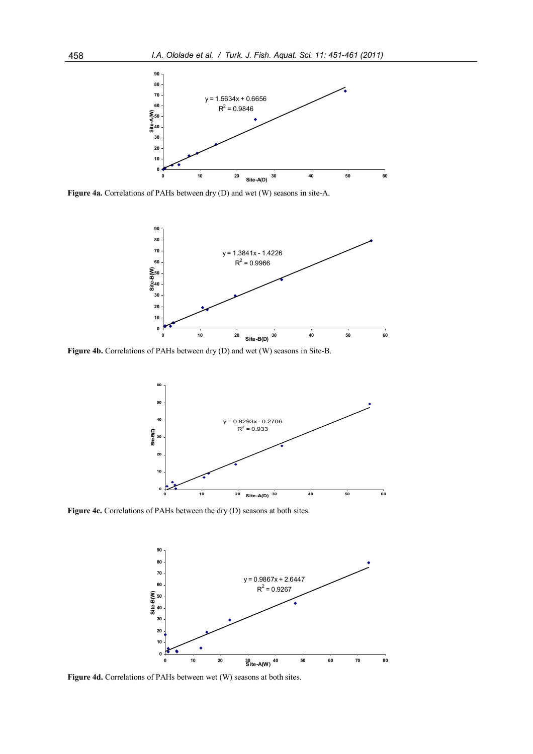

**Figure 4a.** Correlations of PAHs between dry (D) and wet (W) seasons in site-A.



**Figure 4b.** Correlations of PAHs between dry (D) and wet (W) seasons in Site-B.



**Figure 4c.** Correlations of PAHs between the dry (D) seasons at both sites.



**Figure 4d.** Correlations of PAHs between wet (W) seasons at both sites.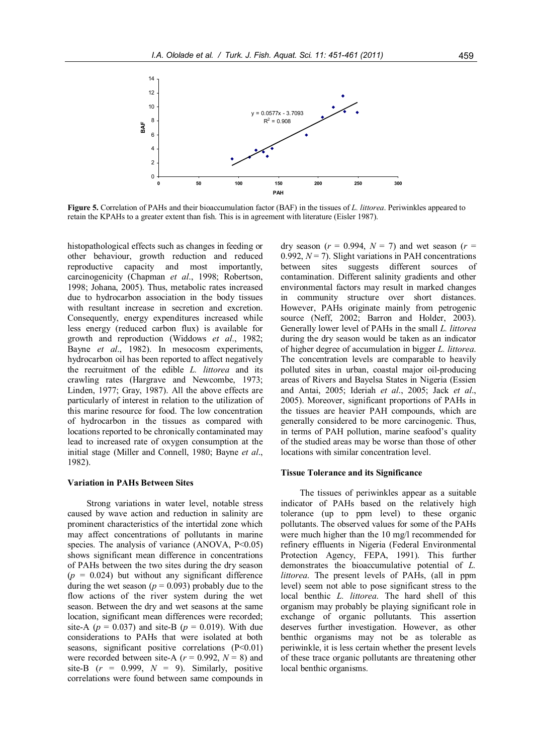

**Figure 5.** Correlation of PAHs and their bioaccumulation factor (BAF) in the tissues of *L. littorea*. Periwinkles appeared to retain the KPAHs to a greater extent than fish. This is in agreement with literature (Eisler 1987).

histopathological effects such as changes in feeding or other behaviour, growth reduction and reduced reproductive capacity and most importantly, carcinogenicity (Chapman *et al*., 1998; Robertson, 1998; Johana, 2005). Thus, metabolic rates increased due to hydrocarbon association in the body tissues with resultant increase in secretion and excretion. Consequently, energy expenditures increased while less energy (reduced carbon flux) is available for growth and reproduction (Widdows *et al*., 1982; Bayne *et al*., 1982). In mesocosm experiments, hydrocarbon oil has been reported to affect negatively the recruitment of the edible *L. littorea* and its crawling rates (Hargrave and Newcombe, 1973; Linden, 1977; Gray, 1987). All the above effects are particularly of interest in relation to the utilization of this marine resource for food. The low concentration of hydrocarbon in the tissues as compared with locations reported to be chronically contaminated may lead to increased rate of oxygen consumption at the initial stage (Miller and Connell, 1980; Bayne *et al*., 1982).

#### **Variation in PAHs Between Sites**

Strong variations in water level, notable stress caused by wave action and reduction in salinity are prominent characteristics of the intertidal zone which may affect concentrations of pollutants in marine species. The analysis of variance  $(ANOVA, P<0.05)$ shows significant mean difference in concentrations of PAHs between the two sites during the dry season  $(p = 0.024)$  but without any significant difference during the wet season ( $p = 0.093$ ) probably due to the flow actions of the river system during the wet season. Between the dry and wet seasons at the same location, significant mean differences were recorded; site-A ( $p = 0.037$ ) and site-B ( $p = 0.019$ ). With due considerations to PAHs that were isolated at both seasons, significant positive correlations  $(P<0.01)$ were recorded between site-A  $(r = 0.992, N = 8)$  and site-B  $(r = 0.999, N = 9)$ . Similarly, positive correlations were found between same compounds in

dry season  $(r = 0.994, N = 7)$  and wet season  $(r = 1.994, N = 7)$ 0.992,  $N = 7$ ). Slight variations in PAH concentrations between sites suggests different sources of contamination. Different salinity gradients and other environmental factors may result in marked changes in community structure over short distances. However, PAHs originate mainly from petrogenic source (Neff, 2002; Barron and Holder, 2003). Generally lower level of PAHs in the small *L. littorea* during the dry season would be taken as an indicator of higher degree of accumulation in bigger *L. littorea*. The concentration levels are comparable to heavily polluted sites in urban, coastal major oil-producing areas of Rivers and Bayelsa States in Nigeria (Essien and Antai, 2005; Ideriah *et al*., 2005; Jack *et al*., 2005). Moreover, significant proportions of PAHs in the tissues are heavier PAH compounds, which are generally considered to be more carcinogenic. Thus, in terms of PAH pollution, marine seafood's quality of the studied areas may be worse than those of other locations with similar concentration level.

#### **Tissue Tolerance and its Significance**

The tissues of periwinkles appear as a suitable indicator of PAHs based on the relatively high tolerance (up to ppm level) to these organic pollutants. The observed values for some of the PAHs were much higher than the 10 mg/l recommended for refinery effluents in Nigeria (Federal Environmental Protection Agency, FEPA, 1991). This further demonstrates the bioaccumulative potential of *L. littorea*. The present levels of PAHs, (all in ppm level) seem not able to pose significant stress to the local benthic *L. littorea*. The hard shell of this organism may probably be playing significant role in exchange of organic pollutants. This assertion deserves further investigation. However, as other benthic organisms may not be as tolerable as periwinkle, it is less certain whether the present levels of these trace organic pollutants are threatening other local benthic organisms.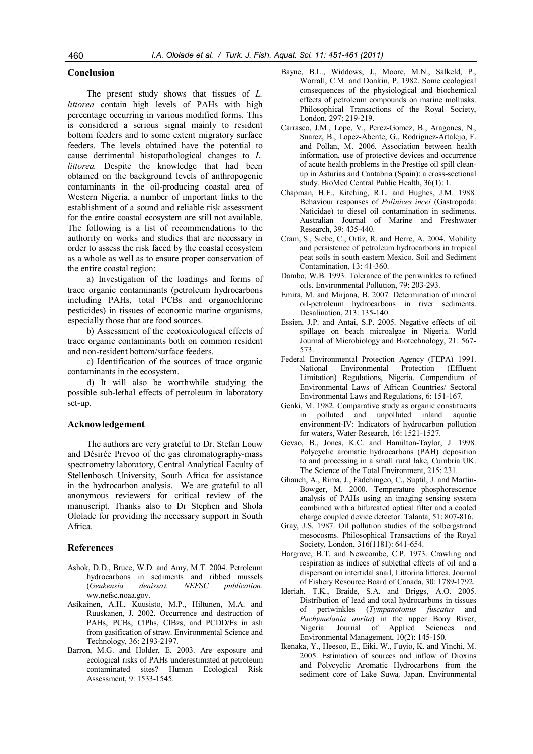## **Conclusion**

The present study shows that tissues of *L. littorea* contain high levels of PAHs with high percentage occurring in various modified forms. This is considered a serious signal mainly to resident bottom feeders and to some extent migratory surface feeders. The levels obtained have the potential to cause detrimental histopathological changes to *L. littorea.* Despite the knowledge that had been obtained on the background levels of anthropogenic contaminants in the oil-producing coastal area of Western Nigeria, a number of important links to the establishment of a sound and reliable risk assessment for the entire coastal ecosystem are still not available. The following is a list of recommendations to the authority on works and studies that are necessary in order to assess the risk faced by the coastal ecosystem as a whole as well as to ensure proper conservation of the entire coastal region:

a) Investigation of the loadings and forms of trace organic contaminants (petroleum hydrocarbons including PAHs, total PCBs and organochlorine pesticides) in tissues of economic marine organisms, especially those that are food sources.

b) Assessment of the ecotoxicological effects of trace organic contaminants both on common resident and non-resident bottom/surface feeders.

c) Identification of the sources of trace organic contaminants in the ecosystem.

d) It will also be worthwhile studying the possible sub-lethal effects of petroleum in laboratory set-up.

#### **Acknowledgement**

The authors are very grateful to Dr. Stefan Louw and Désirée Prevoo of the gas chromatography-mass spectrometry laboratory, Central Analytical Faculty of Stellenbosch University, South Africa for assistance in the hydrocarbon analysis. We are grateful to all anonymous reviewers for critical review of the manuscript. Thanks also to Dr Stephen and Shola Ololade for providing the necessary support in South Africa.

## **References**

- Ashok, D.D., Bruce, W.D. and Amy, M.T. 2004. Petroleum hydrocarbons in sediments and ribbed mussels (*Geukensia denissa). NEFSC publication*. ww.nefsc.noaa.gov.
- Asikainen, A.H., Kuusisto, M.P., Hiltunen, M.A. and Ruuskanen, J. 2002. Occurrence and destruction of PAHs, PCBs, ClPhs, ClBzs, and PCDD/Fs in ash from gasification of straw. Environmental Science and Technology, 36: 2193-2197.
- Barron, M.G. and Holder, E. 2003. Are exposure and ecological risks of PAHs underestimated at petroleum contaminated sites? Human Ecological Risk Assessment, 9: 1533-1545.
- Bayne, B.L., Widdows, J., Moore, M.N., Salkeld, P., Worrall, C.M. and Donkin, P. 1982. Some ecological consequences of the physiological and biochemical effects of petroleum compounds on marine mollusks. Philosophical Transactions of the Royal Society, London, 297: 219-219.
- Carrasco, J.M., Lope, V., Perez-Gomez, B., Aragones, N., Suarez, B., Lopez-Abente, G., Rodriguez-Artalejo, F. and Pollan, M. 2006. Association between health information, use of protective devices and occurrence of acute health problems in the Prestige oil spill cleanup in Asturias and Cantabria (Spain): a cross-sectional study. BioMed Central Public Health, 36(1): 1.
- Chapman, H.F., Kitching, R.L. and Hughes, J.M. 1988. Behaviour responses of *Polinices incei* (Gastropoda: Naticidae) to diesel oil contamination in sediments. Australian Journal of Marine and Freshwater Research, 39: 435-440.
- Cram, S., Siebe, C., Ortíz, R. and Herre, A. 2004. Mobility and persistence of petroleum hydrocarbons in tropical peat soils in south eastern Mexico. Soil and Sediment Contamination, 13: 41-360.
- Dambo, W.B. 1993. Tolerance of the periwinkles to refined oils. Environmental Pollution, 79: 203-293.
- Emira, M. and Mirjana, B. 2007. Determination of mineral oil-petroleum hydrocarbons in river sediments. Desalination, 213: 135-140.
- Essien, J.P. and Antai, S.P. 2005. Negative effects of oil spillage on beach microalgae in Nigeria. World Journal of Microbiology and Biotechnology, 21: 567- 573.
- Federal Environmental Protection Agency (FEPA) 1991. National Environmental Protection (Effluent Limitation) Regulations, Nigeria. Compendium of Environmental Laws of African Countries/ Sectoral Environmental Laws and Regulations, 6: 151-167.
- Genki, M. 1982. Comparative study as organic constituents in polluted and unpolluted inland aquatic environment-IV: Indicators of hydrocarbon pollution for waters, Water Research, 16: 1521-1527.
- Gevao, B., Jones, K.C. and Hamilton-Taylor, J. 1998. Polycyclic aromatic hydrocarbons (PAH) deposition to and processing in a small rural lake, Cumbria UK. The Science of the Total Environment, 215: 231.
- Ghauch, A., Rima, J., Fadchingeo, C., Suptil, J. and Martin-Bowger, M. 2000. Temperature phosphorescence analysis of PAHs using an imaging sensing system combined with a bifurcated optical filter and a cooled charge coupled device detector. Talanta, 51: 807-816.
- Gray, J.S. 1987. Oil pollution studies of the solbergstrand mesocosms. Philosophical Transactions of the Royal Society, London, 316(1181): 641-654.
- Hargrave, B.T. and Newcombe, C.P. 1973. Crawling and respiration as indices of sublethal effects of oil and a dispersant on intertidal snail, Littorina littorea. Journal of Fishery Resource Board of Canada, 30: 1789-1792.
- Ideriah, T.K., Braide, S.A. and Briggs, A.O. 2005. Distribution of lead and total hydrocarbons in tissues of periwinkles (*Tympanotonus fuscatus* and *Pachymelania aurita*) in the upper Bony River, Nigeria. Journal of Applied Sciences and Environmental Management, 10(2): 145-150.
- Ikenaka, Y., Heesoo, E., Eiki, W., Fuyio, K. and Yinchi, M. 2005. Estimation of sources and inflow of Dioxins and Polycyclic Aromatic Hydrocarbons from the sediment core of Lake Suwa*,* Japan. Environmental